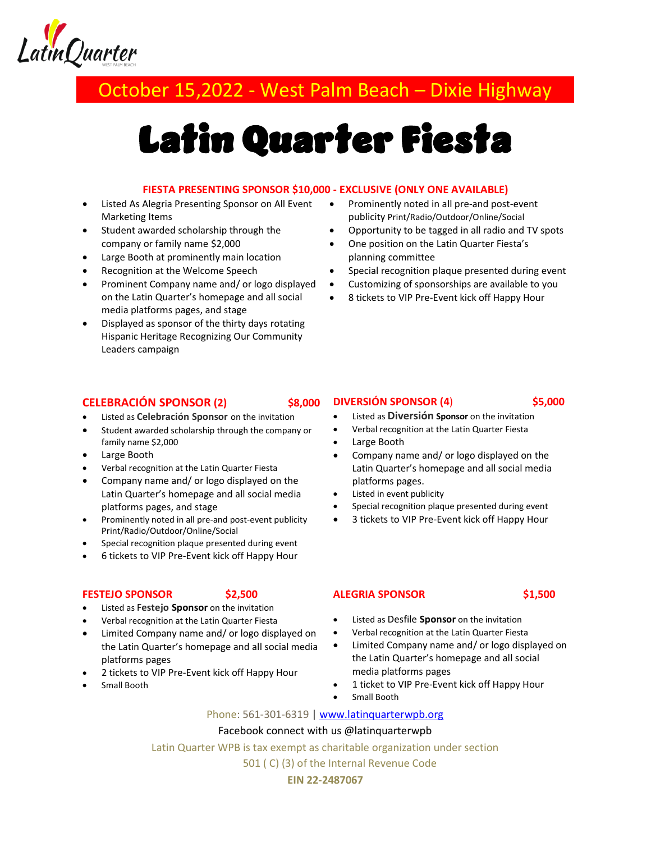

## October 15,2022 - West Palm Beach – Dixie Highway

# Latin Quarter Fiesta

#### **FIESTA PRESENTING SPONSOR \$10,000 - EXCLUSIVE (ONLY ONE AVAILABLE)**

- Listed As Alegria Presenting Sponsor on All Event Marketing Items
- Student awarded scholarship through the company or family name \$2,000
- Large Booth at prominently main location
- Recognition at the Welcome Speech
- Prominent Company name and/ or logo displayed on the Latin Quarter's homepage and all social media platforms pages, and stage
- Displayed as sponsor of the thirty days rotating Hispanic Heritage Recognizing Our Community Leaders campaign
- Prominently noted in all pre-and post-event publicity Print/Radio/Outdoor/Online/Social
- Opportunity to be tagged in all radio and TV spots
- One position on the Latin Quarter Fiesta's planning committee
- Special recognition plaque presented during event
- Customizing of sponsorships are available to you
- 8 tickets to VIP Pre-Event kick off Happy Hour

#### **CELEBRACIÓN SPONSOR (2) \$8,000**

- Listed as **Celebración Sponsor** on the invitation
- Student awarded scholarship through the company or family name \$2,000
- Large Booth
- Verbal recognition at the Latin Quarter Fiesta
- Company name and/ or logo displayed on the Latin Quarter's homepage and all social media platforms pages, and stage
- Prominently noted in all pre-and post-event publicity Print/Radio/Outdoor/Online/Social
- Special recognition plaque presented during event
- 6 tickets to VIP Pre-Event kick off Happy Hour

#### **FESTEJO SPONSOR \$2,500**

- Listed as F**estejo Sponsor** on the invitation
- Verbal recognition at the Latin Quarter Fiesta
- Limited Company name and/ or logo displayed on the Latin Quarter's homepage and all social media platforms pages
- 2 tickets to VIP Pre-Event kick off Happy Hour
- Small Booth

#### **DIVERSIÓN SPONSOR (4**) **\$5,000**

- Listed as **Diversión Sponsor** on the invitation
- Verbal recognition at the Latin Quarter Fiesta
- Large Booth
- Company name and/ or logo displayed on the Latin Quarter's homepage and all social media platforms pages.
- Listed in event publicity
- Special recognition plaque presented during event
- 3 tickets to VIP Pre-Event kick off Happy Hour

#### **ALEGRIA SPONSOR \$1,500**

- Listed as Desfile **Sponsor** on the invitation
- Verbal recognition at the Latin Quarter Fiesta
- Limited Company name and/ or logo displayed on the Latin Quarter's homepage and all social media platforms pages
- 1 ticket to VIP Pre-Event kick off Happy Hour
- Small Booth

#### Phone: 561-301-6319 | [www.latinquarterwpb.org](http://www.latinquarterwpb.org/)

#### Facebook connect with us @latinquarterwpb

Latin Quarter WPB is tax exempt as charitable organization under section

501 ( C) (3) of the Internal Revenue Code

#### **EIN 22-2487067**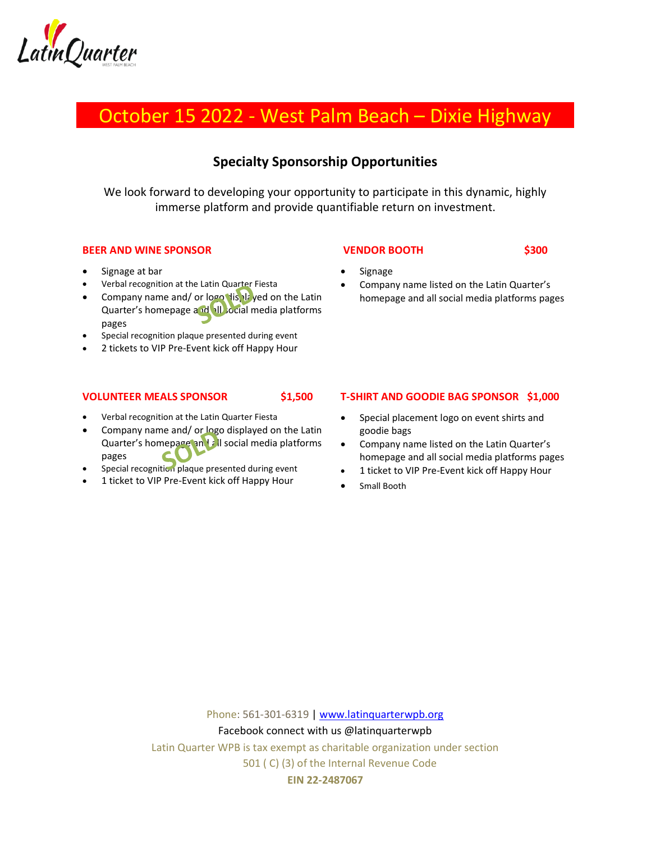

## October 15 2022 - West Palm Beach – Dixie Highway

### **Specialty Sponsorship Opportunities**

We look forward to developing your opportunity to participate in this dynamic, highly immerse platform and provide quantifiable return on investment.

#### **BEER AND WINE SPONSOR**

- Signage at bar
- Verbal recognition at the Latin Quarter Fiesta
- Company name and/ or  $log$  displayed on the Latin Quarter's homepage and all social media platforms pages
- Special recognition plaque presented during event
- 2 tickets to VIP Pre-Event kick off Happy Hour

#### **VENDOR BOOTH \$300**

- Signage
- Company name listed on the Latin Quarter's homepage and all social media platforms pages

#### **VOLUNTEER MEALS SPONSOR \$1,500**

- Verbal recognition at the Latin Quarter Fiesta
- Company name and/ or logo displayed on the Latin Quarter's homepage and all social media platforms pages
- Special recognition plaque presented during event
- 1 ticket to VIP Pre-Event kick off Happy Hour

#### **T-SHIRT AND GOODIE BAG SPONSOR \$1,000**

- Special placement logo on event shirts and goodie bags
- Company name listed on the Latin Quarter's homepage and all social media platforms pages
- 1 ticket to VIP Pre-Event kick off Happy Hour
- Small Booth

Phone: 561-301-6319 | [www.latinquarterwpb.org](http://www.latinquarterwpb.org/) Facebook connect with us @latinquarterwpb Latin Quarter WPB is tax exempt as charitable organization under section 501 ( C) (3) of the Internal Revenue Code **EIN 22-2487067**